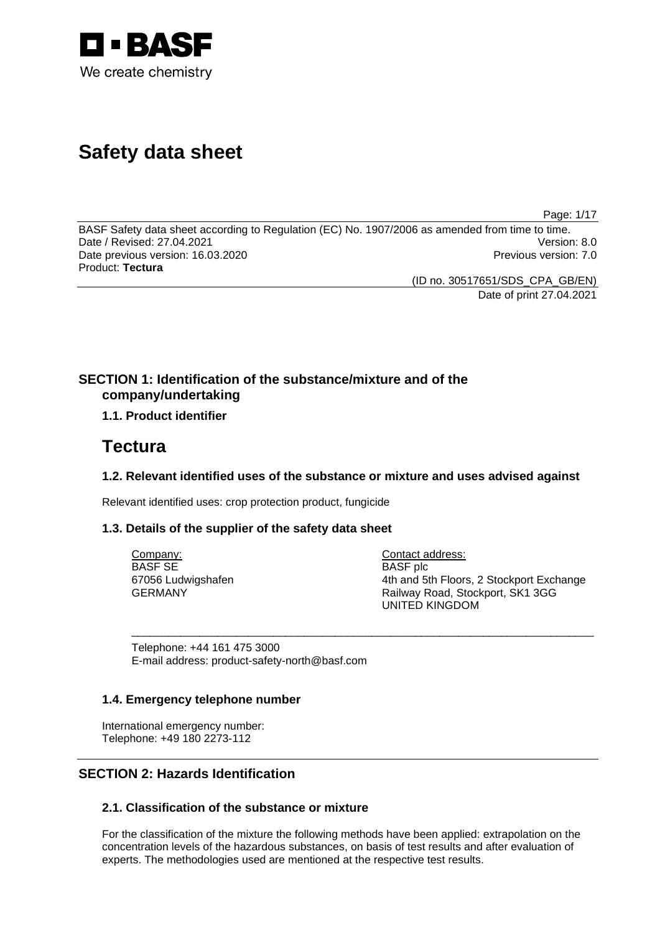

# **Safety data sheet**

Page: 1/17

BASF Safety data sheet according to Regulation (EC) No. 1907/2006 as amended from time to time. Date / Revised: 27.04.2021 Version: 8.0 Date previous version: 16.03.2020 **Previous version: 7.0** Previous version: 7.0 Product: **Tectura** 

(ID no. 30517651/SDS\_CPA\_GB/EN)

Date of print 27.04.2021

## **SECTION 1: Identification of the substance/mixture and of the company/undertaking**

## **1.1. Product identifier**

## **Tectura**

## **1.2. Relevant identified uses of the substance or mixture and uses advised against**

\_\_\_\_\_\_\_\_\_\_\_\_\_\_\_\_\_\_\_\_\_\_\_\_\_\_\_\_\_\_\_\_\_\_\_\_\_\_\_\_\_\_\_\_\_\_\_\_\_\_\_\_\_\_\_\_\_\_\_\_\_\_\_\_\_\_\_\_\_\_\_\_\_\_\_

Relevant identified uses: crop protection product, fungicide

## **1.3. Details of the supplier of the safety data sheet**

Company: BASF SE 67056 Ludwigshafen GERMANY

Contact address: BASF plc 4th and 5th Floors, 2 Stockport Exchange Railway Road, Stockport, SK1 3GG UNITED KINGDOM

Telephone: +44 161 475 3000 E-mail address: product-safety-north@basf.com

## **1.4. Emergency telephone number**

International emergency number: Telephone: +49 180 2273-112

## **SECTION 2: Hazards Identification**

## **2.1. Classification of the substance or mixture**

For the classification of the mixture the following methods have been applied: extrapolation on the concentration levels of the hazardous substances, on basis of test results and after evaluation of experts. The methodologies used are mentioned at the respective test results.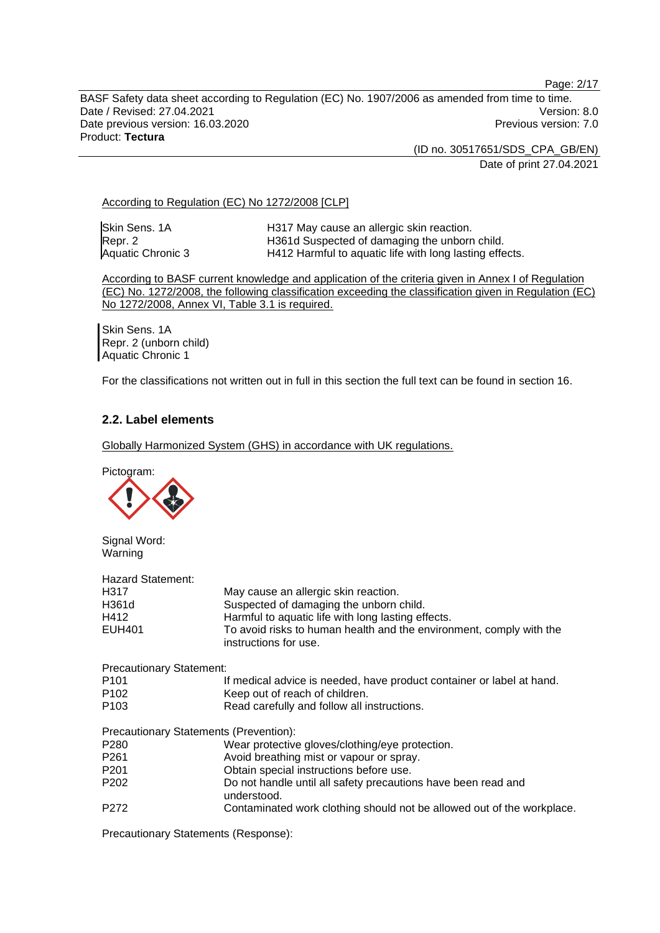Page: 2/17

BASF Safety data sheet according to Regulation (EC) No. 1907/2006 as amended from time to time. Date / Revised: 27.04.2021 Version: 8.0 Date previous version: 16.03.2020 **Previous version: 7.0** Previous version: 7.0 Product: **Tectura** 

> (ID no. 30517651/SDS\_CPA\_GB/EN) Date of print 27.04.2021

According to Regulation (EC) No 1272/2008 [CLP]

Skin Sens. 1A **hang in the H317 May cause an allergic skin reaction.**<br>Repr. 2 **Reading in the H361d Suspected of damaging the unborn** H361d Suspected of damaging the unborn child. Aquatic Chronic 3 **H412 Harmful to aquatic life with long lasting effects.** 

According to BASF current knowledge and application of the criteria given in Annex I of Regulation (EC) No. 1272/2008, the following classification exceeding the classification given in Regulation (EC) No 1272/2008, Annex VI, Table 3.1 is required.

Skin Sens. 1A Repr. 2 (unborn child) Aquatic Chronic 1

For the classifications not written out in full in this section the full text can be found in section 16.

## **2.2. Label elements**

Globally Harmonized System (GHS) in accordance with UK regulations.



Signal Word: Warning

| <b>Hazard Statement:</b>               |                                                                                              |
|----------------------------------------|----------------------------------------------------------------------------------------------|
| H317                                   | May cause an allergic skin reaction.                                                         |
| H361d                                  | Suspected of damaging the unborn child.                                                      |
| H412                                   | Harmful to aquatic life with long lasting effects.                                           |
| <b>EUH401</b>                          | To avoid risks to human health and the environment, comply with the<br>instructions for use. |
| <b>Precautionary Statement:</b>        |                                                                                              |
| P <sub>101</sub>                       | If medical advice is needed, have product container or label at hand.                        |
| P <sub>102</sub>                       | Keep out of reach of children.                                                               |
| P <sub>103</sub>                       | Read carefully and follow all instructions.                                                  |
| Precautionary Statements (Prevention): |                                                                                              |
| P <sub>280</sub>                       | Wear protective gloves/clothing/eye protection.                                              |
| P <sub>261</sub>                       | Avoid breathing mist or vapour or spray.                                                     |
| P <sub>201</sub>                       | Obtain special instructions before use.                                                      |
| P <sub>202</sub>                       | Do not handle until all safety precautions have been read and<br>understood.                 |
| P272                                   | Contaminated work clothing should not be allowed out of the workplace.                       |

Precautionary Statements (Response):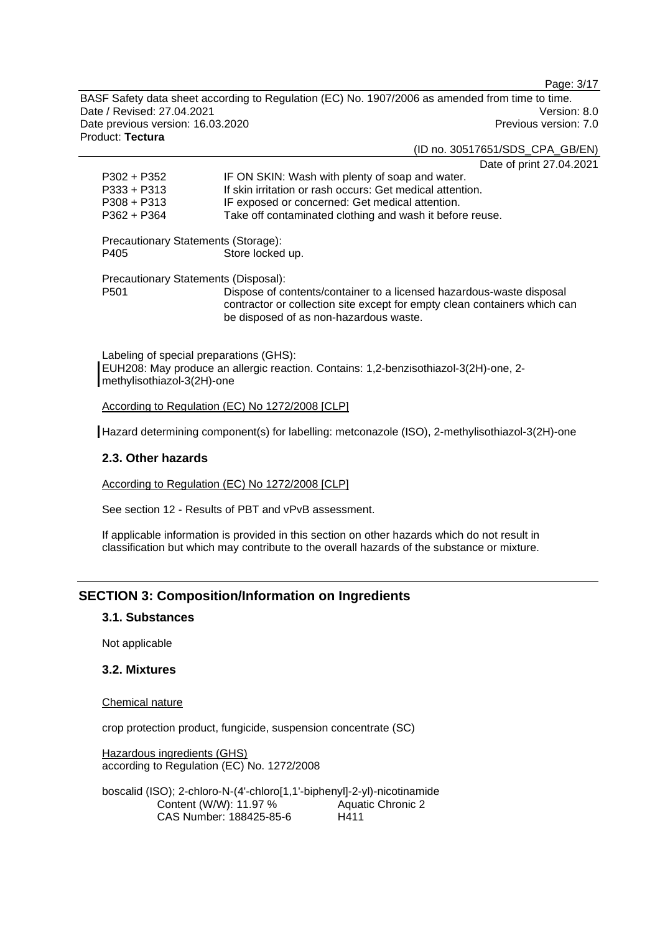Page: 3/17

BASF Safety data sheet according to Regulation (EC) No. 1907/2006 as amended from time to time. Date / Revised: 27.04.2021 Version: 8.0 Date previous version: 16.03.2020 **Previous version: 7.0** Previous version: 7.0 Product: **Tectura** 

(ID no. 30517651/SDS\_CPA\_GB/EN)

Date of print 27.04.2021

| $P302 + P352$                        | IF ON SKIN: Wash with plenty of soap and water.                                                                                                                                             |  |
|--------------------------------------|---------------------------------------------------------------------------------------------------------------------------------------------------------------------------------------------|--|
| $P333 + P313$                        | If skin irritation or rash occurs: Get medical attention.                                                                                                                                   |  |
| $P308 + P313$                        | IF exposed or concerned: Get medical attention.                                                                                                                                             |  |
| $P362 + P364$                        | Take off contaminated clothing and wash it before reuse.                                                                                                                                    |  |
| Precautionary Statements (Storage):  |                                                                                                                                                                                             |  |
| P405                                 | Store locked up.                                                                                                                                                                            |  |
| Precautionary Statements (Disposal): |                                                                                                                                                                                             |  |
| P <sub>501</sub>                     | Dispose of contents/container to a licensed hazardous-waste disposal<br>contractor or collection site except for empty clean containers which can<br>be disposed of as non-hazardous waste. |  |
|                                      |                                                                                                                                                                                             |  |

Labeling of special preparations (GHS): EUH208: May produce an allergic reaction. Contains: 1,2-benzisothiazol-3(2H)-one, 2 methylisothiazol-3(2H)-one

According to Regulation (EC) No 1272/2008 [CLP]

Hazard determining component(s) for labelling: metconazole (ISO), 2-methylisothiazol-3(2H)-one

#### **2.3. Other hazards**

According to Regulation (EC) No 1272/2008 [CLP]

See section 12 - Results of PBT and vPvB assessment.

If applicable information is provided in this section on other hazards which do not result in classification but which may contribute to the overall hazards of the substance or mixture.

## **SECTION 3: Composition/Information on Ingredients**

#### **3.1. Substances**

Not applicable

#### **3.2. Mixtures**

Chemical nature

crop protection product, fungicide, suspension concentrate (SC)

Hazardous ingredients (GHS) according to Regulation (EC) No. 1272/2008

boscalid (ISO); 2-chloro-N-(4'-chloro[1,1'-biphenyl]-2-yl)-nicotinamide Content (W/W): 11.97 % CAS Number: 188425-85-6 Aquatic Chronic 2 H411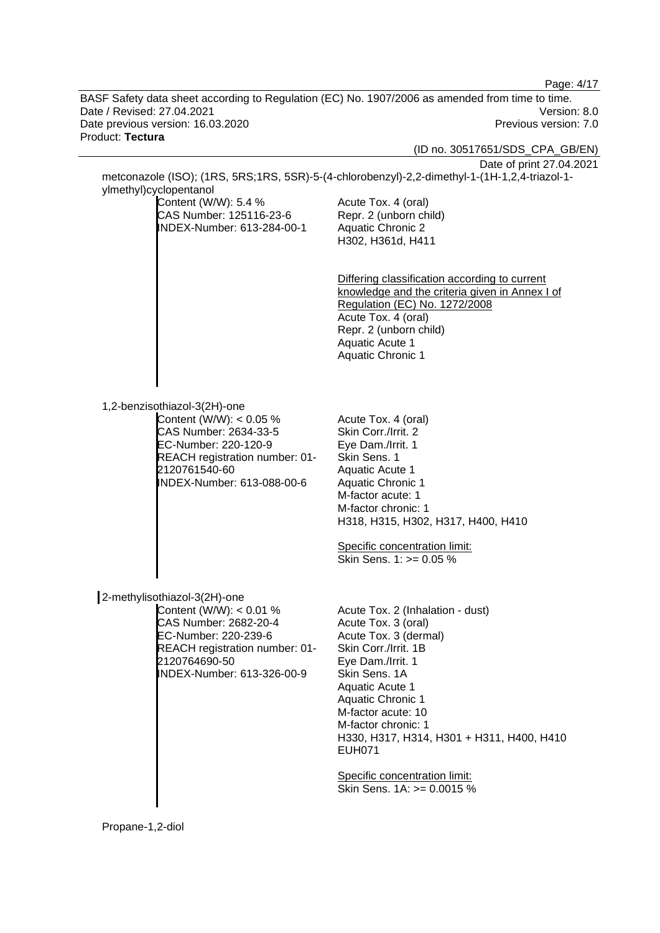BASF Safety data sheet according to Regulation (EC) No. 1907/2006 as amended from time to time. Date / Revised: 27.04.2021 Version: 8.0 Date previous version: 16.03.2020 **Previous version: 7.0** Previous version: 7.0 Product: **Tectura**  (ID no. 30517651/SDS\_CPA\_GB/EN) Date of print 27.04.2021 metconazole (ISO); (1RS, 5RS;1RS, 5SR)-5-(4-chlorobenzyl)-2,2-dimethyl-1-(1H-1,2,4-triazol-1 ylmethyl)cyclopentanol Content (W/W): 5.4 % CAS Number: 125116-23-6 INDEX-Number: 613-284-00-1 Acute Tox. 4 (oral) Repr. 2 (unborn child) Aquatic Chronic 2 H302, H361d, H411 Differing classification according to current knowledge and the criteria given in Annex I of Regulation (EC) No. 1272/2008 Acute Tox. 4 (oral) Repr. 2 (unborn child) Aquatic Acute 1 Aquatic Chronic 1 1,2-benzisothiazol-3(2H)-one Content (W/W): < 0.05 % CAS Number: 2634-33-5 EC-Number: 220-120-9 REACH registration number: 01- 2120761540-60 INDEX-Number: 613-088-00-6 Acute Tox. 4 (oral) Skin Corr./Irrit. 2 Eye Dam./Irrit. 1 Skin Sens. 1 Aquatic Acute 1 Aquatic Chronic 1 M-factor acute: 1 M-factor chronic: 1 H318, H315, H302, H317, H400, H410 Specific concentration limit: Skin Sens. 1: >= 0.05 % 2-methylisothiazol-3(2H)-one Content (W/W): < 0.01 % CAS Number: 2682-20-4 EC-Number: 220-239-6 REACH registration number: 01- 2120764690-50 INDEX-Number: 613-326-00-9 Acute Tox. 2 (Inhalation - dust) Acute Tox. 3 (oral) Acute Tox. 3 (dermal) Skin Corr./Irrit. 1B Eye Dam./Irrit. 1 Skin Sens. 1A Aquatic Acute 1 Aquatic Chronic 1 M-factor acute: 10 M-factor chronic: 1 H330, H317, H314, H301 + H311, H400, H410 EUH071 Specific concentration limit: Skin Sens. 1A: >= 0.0015 %

Page: 4/17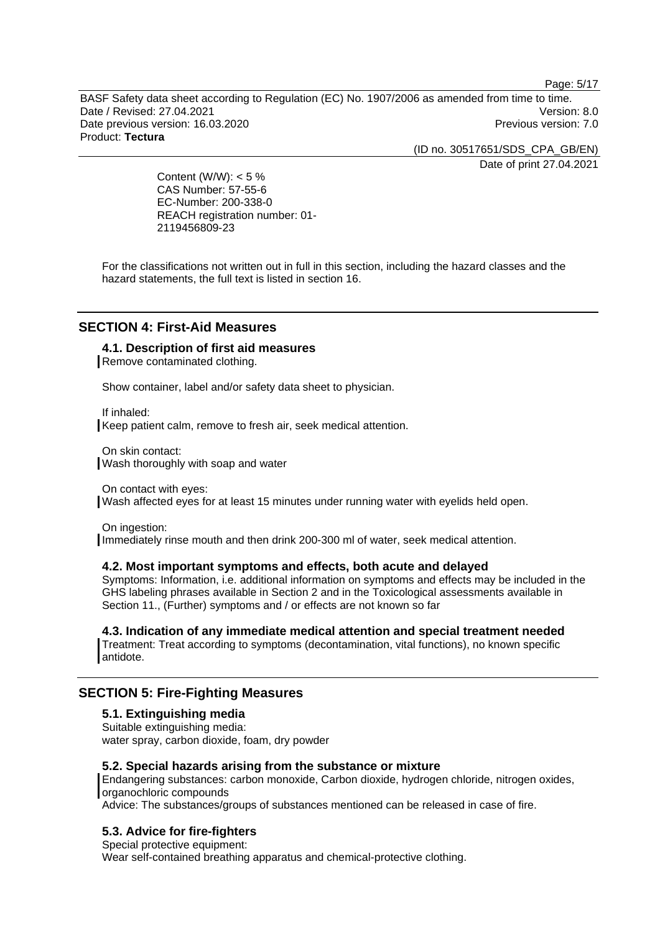Page: 5/17

BASF Safety data sheet according to Regulation (EC) No. 1907/2006 as amended from time to time. Date / Revised: 27.04.2021 Version: 8.0 Date previous version: 16.03.2020 **Previous version: 7.0** Previous version: 7.0 Product: **Tectura** 

> (ID no. 30517651/SDS\_CPA\_GB/EN) Date of print 27.04.2021

Content (W/W):  $< 5 \%$ CAS Number: 57-55-6 EC-Number: 200-338-0 REACH registration number: 01- 2119456809-23

For the classifications not written out in full in this section, including the hazard classes and the hazard statements, the full text is listed in section 16.

## **SECTION 4: First-Aid Measures**

#### **4.1. Description of first aid measures**

Remove contaminated clothing.

Show container, label and/or safety data sheet to physician.

If inhaled: Keep patient calm, remove to fresh air, seek medical attention.

On skin contact: Wash thoroughly with soap and water

On contact with eyes: Wash affected eyes for at least 15 minutes under running water with eyelids held open.

On ingestion:

Immediately rinse mouth and then drink 200-300 ml of water, seek medical attention.

#### **4.2. Most important symptoms and effects, both acute and delayed**

Symptoms: Information, i.e. additional information on symptoms and effects may be included in the GHS labeling phrases available in Section 2 and in the Toxicological assessments available in Section 11., (Further) symptoms and / or effects are not known so far

#### **4.3. Indication of any immediate medical attention and special treatment needed**

Treatment: Treat according to symptoms (decontamination, vital functions), no known specific antidote.

## **SECTION 5: Fire-Fighting Measures**

#### **5.1. Extinguishing media**

Suitable extinguishing media: water spray, carbon dioxide, foam, dry powder

#### **5.2. Special hazards arising from the substance or mixture**

Endangering substances: carbon monoxide, Carbon dioxide, hydrogen chloride, nitrogen oxides, organochloric compounds

Advice: The substances/groups of substances mentioned can be released in case of fire.

#### **5.3. Advice for fire-fighters**

Special protective equipment: Wear self-contained breathing apparatus and chemical-protective clothing.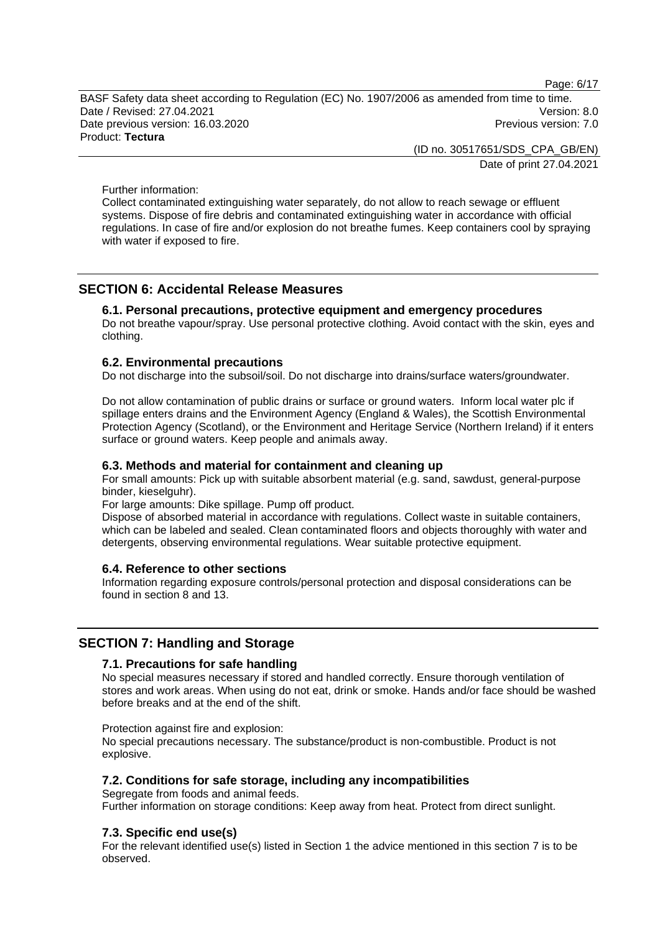Page: 6/17

BASF Safety data sheet according to Regulation (EC) No. 1907/2006 as amended from time to time. Date / Revised: 27.04.2021 Version: 8.0 Date previous version: 16.03.2020 **Previous version: 7.0** Previous version: 7.0 Product: **Tectura** 

> (ID no. 30517651/SDS\_CPA\_GB/EN) Date of print 27.04.2021

Further information:

Collect contaminated extinguishing water separately, do not allow to reach sewage or effluent systems. Dispose of fire debris and contaminated extinguishing water in accordance with official regulations. In case of fire and/or explosion do not breathe fumes. Keep containers cool by spraying with water if exposed to fire.

## **SECTION 6: Accidental Release Measures**

#### **6.1. Personal precautions, protective equipment and emergency procedures**

Do not breathe vapour/spray. Use personal protective clothing. Avoid contact with the skin, eyes and clothing.

#### **6.2. Environmental precautions**

Do not discharge into the subsoil/soil. Do not discharge into drains/surface waters/groundwater.

Do not allow contamination of public drains or surface or ground waters. Inform local water plc if spillage enters drains and the Environment Agency (England & Wales), the Scottish Environmental Protection Agency (Scotland), or the Environment and Heritage Service (Northern Ireland) if it enters surface or ground waters. Keep people and animals away.

#### **6.3. Methods and material for containment and cleaning up**

For small amounts: Pick up with suitable absorbent material (e.g. sand, sawdust, general-purpose binder, kieselguhr).

For large amounts: Dike spillage. Pump off product.

Dispose of absorbed material in accordance with regulations. Collect waste in suitable containers, which can be labeled and sealed. Clean contaminated floors and objects thoroughly with water and detergents, observing environmental regulations. Wear suitable protective equipment.

#### **6.4. Reference to other sections**

Information regarding exposure controls/personal protection and disposal considerations can be found in section 8 and 13.

#### **SECTION 7: Handling and Storage**

#### **7.1. Precautions for safe handling**

No special measures necessary if stored and handled correctly. Ensure thorough ventilation of stores and work areas. When using do not eat, drink or smoke. Hands and/or face should be washed before breaks and at the end of the shift.

Protection against fire and explosion: No special precautions necessary. The substance/product is non-combustible. Product is not explosive.

#### **7.2. Conditions for safe storage, including any incompatibilities**

Segregate from foods and animal feeds. Further information on storage conditions: Keep away from heat. Protect from direct sunlight.

#### **7.3. Specific end use(s)**

For the relevant identified use(s) listed in Section 1 the advice mentioned in this section 7 is to be observed.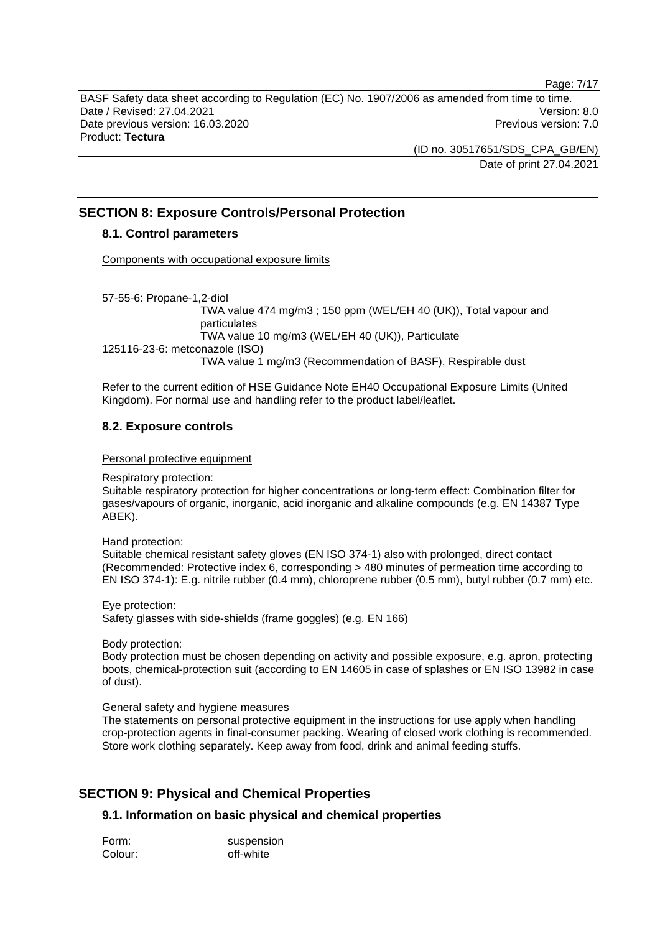Page: 7/17

BASF Safety data sheet according to Regulation (EC) No. 1907/2006 as amended from time to time. Date / Revised: 27.04.2021 Version: 8.0 Date previous version: 16.03.2020 **Previous version: 7.0** Previous version: 7.0 Product: **Tectura** 

> (ID no. 30517651/SDS\_CPA\_GB/EN) Date of print 27.04.2021

## **SECTION 8: Exposure Controls/Personal Protection**

#### **8.1. Control parameters**

Components with occupational exposure limits

57-55-6: Propane-1,2-diol TWA value 474 mg/m3 ; 150 ppm (WEL/EH 40 (UK)), Total vapour and particulates TWA value 10 mg/m3 (WEL/EH 40 (UK)), Particulate 125116-23-6: metconazole (ISO) TWA value 1 mg/m3 (Recommendation of BASF), Respirable dust

Refer to the current edition of HSE Guidance Note EH40 Occupational Exposure Limits (United Kingdom). For normal use and handling refer to the product label/leaflet.

#### **8.2. Exposure controls**

#### Personal protective equipment

Respiratory protection:

Suitable respiratory protection for higher concentrations or long-term effect: Combination filter for gases/vapours of organic, inorganic, acid inorganic and alkaline compounds (e.g. EN 14387 Type ABEK).

Hand protection:

Suitable chemical resistant safety gloves (EN ISO 374-1) also with prolonged, direct contact (Recommended: Protective index 6, corresponding > 480 minutes of permeation time according to EN ISO 374-1): E.g. nitrile rubber (0.4 mm), chloroprene rubber (0.5 mm), butyl rubber (0.7 mm) etc.

Eye protection: Safety glasses with side-shields (frame goggles) (e.g. EN 166)

Body protection:

Body protection must be chosen depending on activity and possible exposure, e.g. apron, protecting boots, chemical-protection suit (according to EN 14605 in case of splashes or EN ISO 13982 in case of dust).

#### General safety and hygiene measures

The statements on personal protective equipment in the instructions for use apply when handling crop-protection agents in final-consumer packing. Wearing of closed work clothing is recommended. Store work clothing separately. Keep away from food, drink and animal feeding stuffs.

## **SECTION 9: Physical and Chemical Properties**

## **9.1. Information on basic physical and chemical properties**

| Form:   | suspension |
|---------|------------|
| Colour: | off-white  |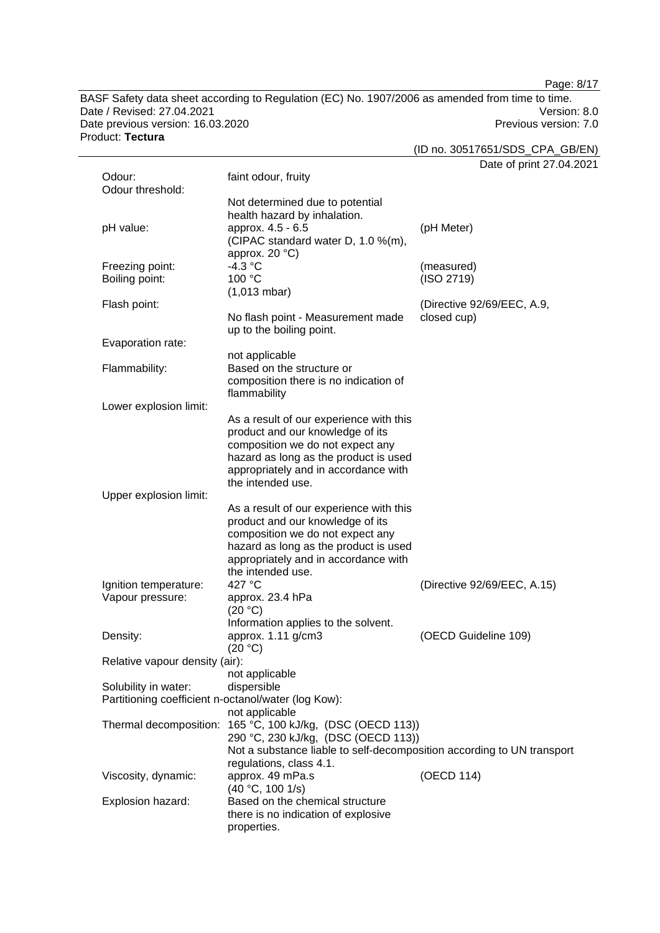BASF Safety data sheet according to Regulation (EC) No. 1907/2006 as amended from time to time. Date / Revised: 27.04.2021 Version: 8.0 Date previous version: 16.03.2020 **Previous version: 7.0** Previous version: 7.0 Product: **Tectura** 

|                                                                             |                                                                               | (ID no. 30517651/SDS_CPA_GB/EN) |
|-----------------------------------------------------------------------------|-------------------------------------------------------------------------------|---------------------------------|
|                                                                             |                                                                               | Date of print 27.04.2021        |
| Odour:                                                                      | faint odour, fruity                                                           |                                 |
| Odour threshold:                                                            |                                                                               |                                 |
|                                                                             | Not determined due to potential                                               |                                 |
|                                                                             | health hazard by inhalation.                                                  |                                 |
| pH value:                                                                   | approx. 4.5 - 6.5                                                             | (pH Meter)                      |
|                                                                             | (CIPAC standard water D, 1.0 %(m),                                            |                                 |
| Freezing point:                                                             | approx. 20 °C)<br>$-4.3$ °C                                                   | (measured)                      |
| Boiling point:                                                              | 100 °C                                                                        | (ISO 2719)                      |
|                                                                             | $(1,013 \text{ mbar})$                                                        |                                 |
| Flash point:                                                                |                                                                               | (Directive 92/69/EEC, A.9,      |
|                                                                             | No flash point - Measurement made                                             | closed cup)                     |
|                                                                             | up to the boiling point.                                                      |                                 |
| Evaporation rate:                                                           |                                                                               |                                 |
|                                                                             | not applicable                                                                |                                 |
| Flammability:                                                               | Based on the structure or                                                     |                                 |
|                                                                             | composition there is no indication of                                         |                                 |
|                                                                             | flammability                                                                  |                                 |
| Lower explosion limit:                                                      | As a result of our experience with this                                       |                                 |
|                                                                             | product and our knowledge of its                                              |                                 |
|                                                                             | composition we do not expect any                                              |                                 |
|                                                                             | hazard as long as the product is used                                         |                                 |
|                                                                             | appropriately and in accordance with                                          |                                 |
|                                                                             | the intended use.                                                             |                                 |
| Upper explosion limit:                                                      |                                                                               |                                 |
|                                                                             | As a result of our experience with this                                       |                                 |
|                                                                             | product and our knowledge of its                                              |                                 |
|                                                                             | composition we do not expect any                                              |                                 |
|                                                                             | hazard as long as the product is used<br>appropriately and in accordance with |                                 |
|                                                                             | the intended use.                                                             |                                 |
| Ignition temperature:                                                       | 427 °C                                                                        | (Directive 92/69/EEC, A.15)     |
| Vapour pressure:                                                            | approx. 23.4 hPa                                                              |                                 |
|                                                                             | (20 °C)                                                                       |                                 |
|                                                                             | Information applies to the solvent.                                           |                                 |
| Density:                                                                    | approx. 1.11 g/cm3                                                            | (OECD Guideline 109)            |
|                                                                             | (20 °C)                                                                       |                                 |
| Relative vapour density (air):                                              |                                                                               |                                 |
|                                                                             | not applicable                                                                |                                 |
| Solubility in water:<br>Partitioning coefficient n-octanol/water (log Kow): | dispersible                                                                   |                                 |
|                                                                             | not applicable                                                                |                                 |
|                                                                             | Thermal decomposition: 165 °C, 100 kJ/kg, (DSC (OECD 113))                    |                                 |
|                                                                             | 290 °C, 230 kJ/kg, (DSC (OECD 113))                                           |                                 |
|                                                                             | Not a substance liable to self-decomposition according to UN transport        |                                 |
|                                                                             | regulations, class 4.1.                                                       |                                 |
| Viscosity, dynamic:                                                         | approx. 49 mPa.s                                                              | (OECD 114)                      |
|                                                                             | (40 °C, 100 1/s)                                                              |                                 |
| Explosion hazard:                                                           | Based on the chemical structure                                               |                                 |
|                                                                             | there is no indication of explosive                                           |                                 |
|                                                                             | properties.                                                                   |                                 |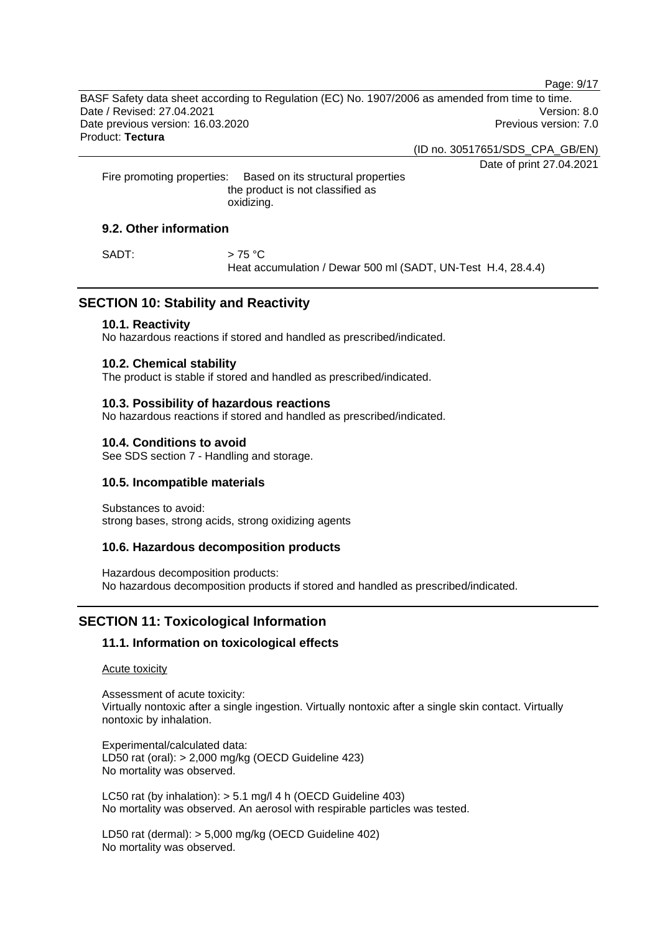Page: 9/17

BASF Safety data sheet according to Regulation (EC) No. 1907/2006 as amended from time to time. Date / Revised: 27.04.2021 Version: 8.0 Date previous version: 16.03.2020 **Previous version: 7.0** Previous version: 7.0 Product: **Tectura** 

(ID no. 30517651/SDS\_CPA\_GB/EN)

Date of print 27.04.2021

Fire promoting properties: Based on its structural properties the product is not classified as oxidizing.

#### **9.2. Other information**

SADT:  $> 75 °C$ Heat accumulation / Dewar 500 ml (SADT, UN-Test H.4, 28.4.4)

#### **SECTION 10: Stability and Reactivity**

#### **10.1. Reactivity**

No hazardous reactions if stored and handled as prescribed/indicated.

#### **10.2. Chemical stability**

The product is stable if stored and handled as prescribed/indicated.

#### **10.3. Possibility of hazardous reactions**

No hazardous reactions if stored and handled as prescribed/indicated.

#### **10.4. Conditions to avoid**

See SDS section 7 - Handling and storage.

#### **10.5. Incompatible materials**

Substances to avoid: strong bases, strong acids, strong oxidizing agents

#### **10.6. Hazardous decomposition products**

Hazardous decomposition products: No hazardous decomposition products if stored and handled as prescribed/indicated.

## **SECTION 11: Toxicological Information**

#### **11.1. Information on toxicological effects**

Acute toxicity

Assessment of acute toxicity: Virtually nontoxic after a single ingestion. Virtually nontoxic after a single skin contact. Virtually nontoxic by inhalation.

Experimental/calculated data: LD50 rat (oral): > 2,000 mg/kg (OECD Guideline 423) No mortality was observed.

LC50 rat (by inhalation): > 5.1 mg/l 4 h (OECD Guideline 403) No mortality was observed. An aerosol with respirable particles was tested.

LD50 rat (dermal): > 5,000 mg/kg (OECD Guideline 402) No mortality was observed.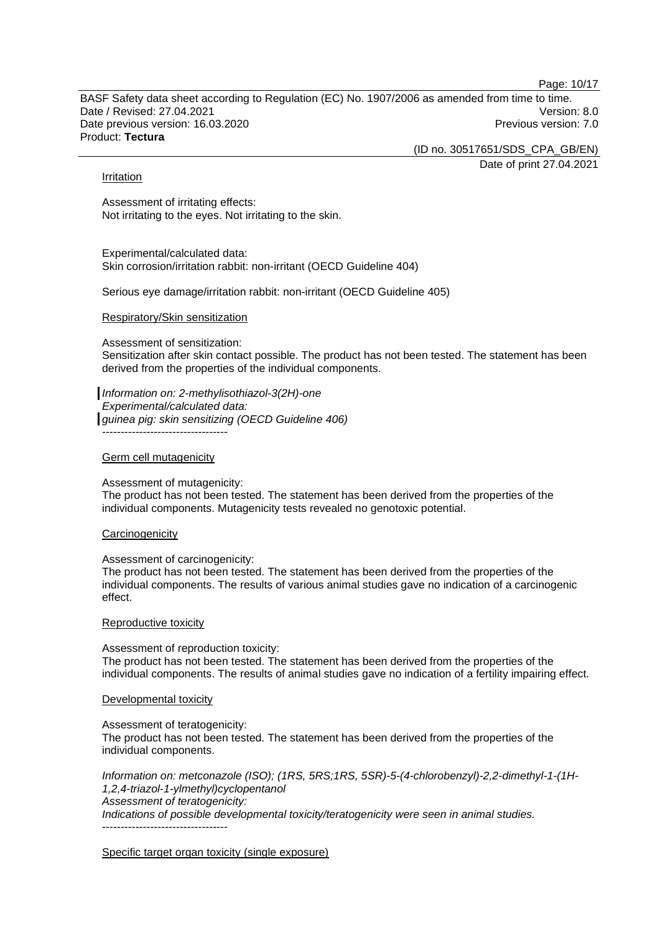Page: 10/17

BASF Safety data sheet according to Regulation (EC) No. 1907/2006 as amended from time to time. Date / Revised: 27.04.2021 Version: 8.0 Date previous version: 16.03.2020 **Previous version: 7.0** Previous version: 7.0 Product: **Tectura** 

> (ID no. 30517651/SDS\_CPA\_GB/EN) Date of print 27.04.2021

#### Irritation

Assessment of irritating effects: Not irritating to the eyes. Not irritating to the skin.

Experimental/calculated data: Skin corrosion/irritation rabbit: non-irritant (OECD Guideline 404)

Serious eye damage/irritation rabbit: non-irritant (OECD Guideline 405)

#### Respiratory/Skin sensitization

Assessment of sensitization:

Sensitization after skin contact possible. The product has not been tested. The statement has been derived from the properties of the individual components.

*Information on: 2-methylisothiazol-3(2H)-one* 

*Experimental/calculated data: guinea pig: skin sensitizing (OECD Guideline 406)*

----------------------------------

#### Germ cell mutagenicity

Assessment of mutagenicity:

The product has not been tested. The statement has been derived from the properties of the individual components. Mutagenicity tests revealed no genotoxic potential.

#### **Carcinogenicity**

Assessment of carcinogenicity:

The product has not been tested. The statement has been derived from the properties of the individual components. The results of various animal studies gave no indication of a carcinogenic effect.

#### Reproductive toxicity

Assessment of reproduction toxicity: The product has not been tested. The statement has been derived from the properties of the individual components. The results of animal studies gave no indication of a fertility impairing effect.

#### Developmental toxicity

Assessment of teratogenicity: The product has not been tested. The statement has been derived from the properties of the individual components.

*Information on: metconazole (ISO); (1RS, 5RS;1RS, 5SR)-5-(4-chlorobenzyl)-2,2-dimethyl-1-(1H-1,2,4-triazol-1-ylmethyl)cyclopentanol Assessment of teratogenicity: Indications of possible developmental toxicity/teratogenicity were seen in animal studies.*  -----------------------------------

Specific target organ toxicity (single exposure)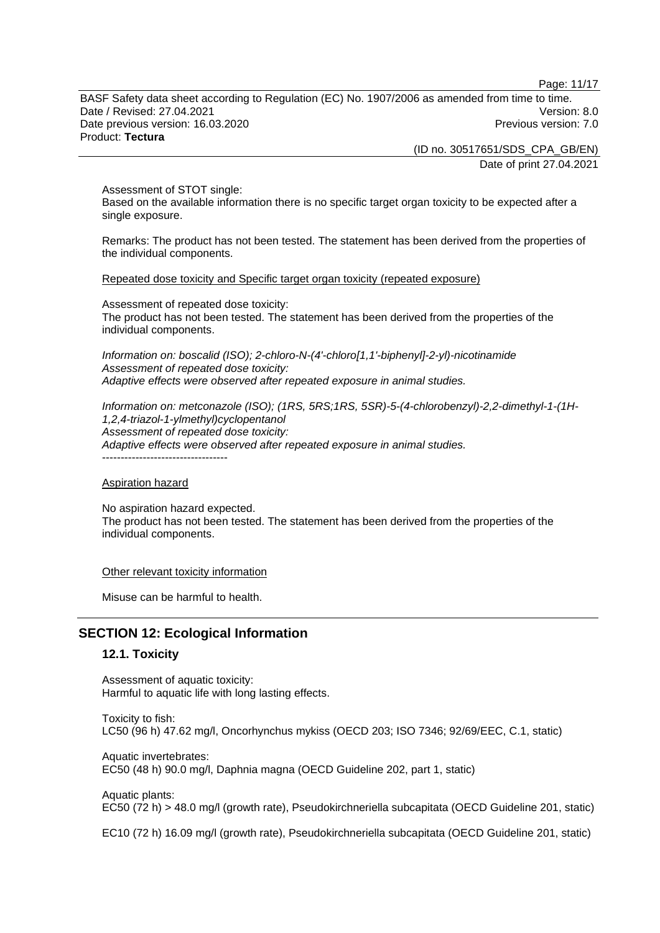Page: 11/17

BASF Safety data sheet according to Regulation (EC) No. 1907/2006 as amended from time to time. Date / Revised: 27.04.2021 Version: 8.0 Date previous version: 16.03.2020 **Previous version: 7.0** Previous version: 7.0 Product: **Tectura** 

> (ID no. 30517651/SDS\_CPA\_GB/EN) Date of print 27.04.2021

Assessment of STOT single:

Based on the available information there is no specific target organ toxicity to be expected after a single exposure.

Remarks: The product has not been tested. The statement has been derived from the properties of the individual components.

Repeated dose toxicity and Specific target organ toxicity (repeated exposure)

Assessment of repeated dose toxicity: The product has not been tested. The statement has been derived from the properties of the individual components.

*Information on: boscalid (ISO); 2-chloro-N-(4'-chloro[1,1'-biphenyl]-2-yl)-nicotinamide Assessment of repeated dose toxicity: Adaptive effects were observed after repeated exposure in animal studies.* 

*Information on: metconazole (ISO); (1RS, 5RS;1RS, 5SR)-5-(4-chlorobenzyl)-2,2-dimethyl-1-(1H-1,2,4-triazol-1-ylmethyl)cyclopentanol Assessment of repeated dose toxicity: Adaptive effects were observed after repeated exposure in animal studies.*  ----------------------------------

#### Aspiration hazard

No aspiration hazard expected. The product has not been tested. The statement has been derived from the properties of the individual components.

#### Other relevant toxicity information

Misuse can be harmful to health.

#### **SECTION 12: Ecological Information**

#### **12.1. Toxicity**

Assessment of aquatic toxicity: Harmful to aquatic life with long lasting effects.

Toxicity to fish: LC50 (96 h) 47.62 mg/l, Oncorhynchus mykiss (OECD 203; ISO 7346; 92/69/EEC, C.1, static)

Aquatic invertebrates: EC50 (48 h) 90.0 mg/l, Daphnia magna (OECD Guideline 202, part 1, static)

Aquatic plants: EC50 (72 h) > 48.0 mg/l (growth rate), Pseudokirchneriella subcapitata (OECD Guideline 201, static)

EC10 (72 h) 16.09 mg/l (growth rate), Pseudokirchneriella subcapitata (OECD Guideline 201, static)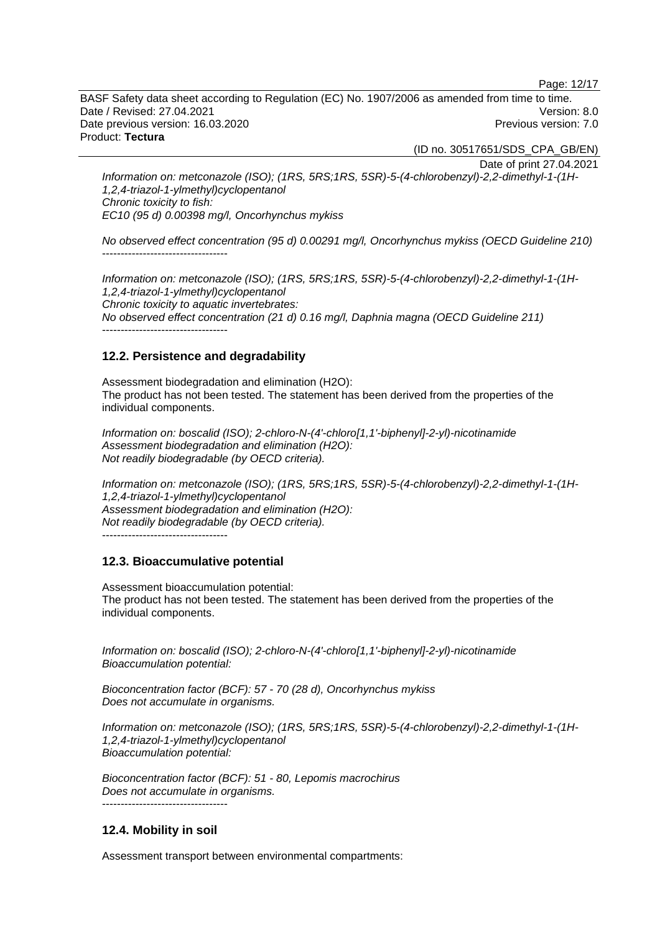Page: 12/17

BASF Safety data sheet according to Regulation (EC) No. 1907/2006 as amended from time to time. Date / Revised: 27.04.2021 Version: 8.0 Date previous version: 16.03.2020 **Previous version: 7.0** Previous version: 7.0 Product: **Tectura** 

(ID no. 30517651/SDS\_CPA\_GB/EN)

Date of print 27.04.2021

*Information on: metconazole (ISO); (1RS, 5RS;1RS, 5SR)-5-(4-chlorobenzyl)-2,2-dimethyl-1-(1H-1,2,4-triazol-1-ylmethyl)cyclopentanol Chronic toxicity to fish: EC10 (95 d) 0.00398 mg/l, Oncorhynchus mykiss* 

*No observed effect concentration (95 d) 0.00291 mg/l, Oncorhynchus mykiss (OECD Guideline 210)*  ----------------------------------

*Information on: metconazole (ISO); (1RS, 5RS;1RS, 5SR)-5-(4-chlorobenzyl)-2,2-dimethyl-1-(1H-1,2,4-triazol-1-ylmethyl)cyclopentanol Chronic toxicity to aquatic invertebrates: No observed effect concentration (21 d) 0.16 mg/l, Daphnia magna (OECD Guideline 211)*  ----------------------------------

## **12.2. Persistence and degradability**

Assessment biodegradation and elimination (H2O): The product has not been tested. The statement has been derived from the properties of the individual components.

*Information on: boscalid (ISO); 2-chloro-N-(4'-chloro[1,1'-biphenyl]-2-yl)-nicotinamide Assessment biodegradation and elimination (H2O): Not readily biodegradable (by OECD criteria).* 

*Information on: metconazole (ISO); (1RS, 5RS;1RS, 5SR)-5-(4-chlorobenzyl)-2,2-dimethyl-1-(1H-1,2,4-triazol-1-ylmethyl)cyclopentanol Assessment biodegradation and elimination (H2O): Not readily biodegradable (by OECD criteria).*  ----------------------------------

#### **12.3. Bioaccumulative potential**

Assessment bioaccumulation potential: The product has not been tested. The statement has been derived from the properties of the individual components.

*Information on: boscalid (ISO); 2-chloro-N-(4'-chloro[1,1'-biphenyl]-2-yl)-nicotinamide Bioaccumulation potential:* 

*Bioconcentration factor (BCF): 57 - 70 (28 d), Oncorhynchus mykiss Does not accumulate in organisms.* 

*Information on: metconazole (ISO); (1RS, 5RS;1RS, 5SR)-5-(4-chlorobenzyl)-2,2-dimethyl-1-(1H-1,2,4-triazol-1-ylmethyl)cyclopentanol Bioaccumulation potential:* 

*Bioconcentration factor (BCF): 51 - 80, Lepomis macrochirus Does not accumulate in organisms.*  -----------------------------------

## **12.4. Mobility in soil**

Assessment transport between environmental compartments: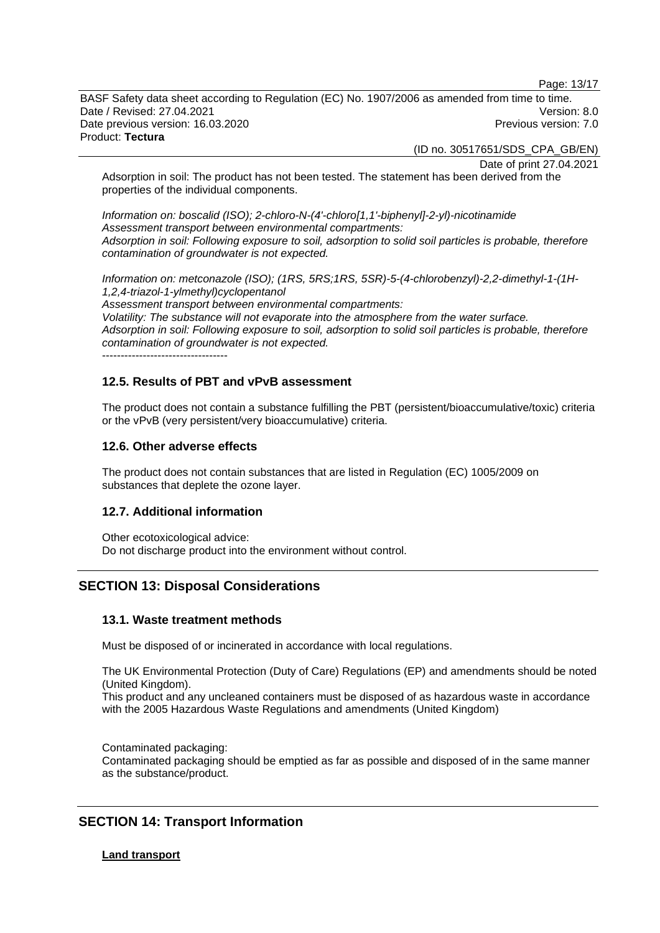Page: 13/17

BASF Safety data sheet according to Regulation (EC) No. 1907/2006 as amended from time to time. Date / Revised: 27.04.2021 Version: 8.0 Date previous version: 16.03.2020 **Previous version: 7.0** Previous version: 7.0 Product: **Tectura** 

(ID no. 30517651/SDS\_CPA\_GB/EN)

Date of print 27.04.2021

Adsorption in soil: The product has not been tested. The statement has been derived from the properties of the individual components.

*Information on: boscalid (ISO); 2-chloro-N-(4'-chloro[1,1'-biphenyl]-2-yl)-nicotinamide Assessment transport between environmental compartments: Adsorption in soil: Following exposure to soil, adsorption to solid soil particles is probable, therefore contamination of groundwater is not expected.*

*Information on: metconazole (ISO); (1RS, 5RS;1RS, 5SR)-5-(4-chlorobenzyl)-2,2-dimethyl-1-(1H-1,2,4-triazol-1-ylmethyl)cyclopentanol Assessment transport between environmental compartments: Volatility: The substance will not evaporate into the atmosphere from the water surface. Adsorption in soil: Following exposure to soil, adsorption to solid soil particles is probable, therefore contamination of groundwater is not expected.*

-----------------------------------

#### **12.5. Results of PBT and vPvB assessment**

The product does not contain a substance fulfilling the PBT (persistent/bioaccumulative/toxic) criteria or the vPvB (very persistent/very bioaccumulative) criteria.

#### **12.6. Other adverse effects**

The product does not contain substances that are listed in Regulation (EC) 1005/2009 on substances that deplete the ozone layer.

#### **12.7. Additional information**

Other ecotoxicological advice: Do not discharge product into the environment without control.

## **SECTION 13: Disposal Considerations**

#### **13.1. Waste treatment methods**

Must be disposed of or incinerated in accordance with local regulations.

The UK Environmental Protection (Duty of Care) Regulations (EP) and amendments should be noted (United Kingdom).

This product and any uncleaned containers must be disposed of as hazardous waste in accordance with the 2005 Hazardous Waste Regulations and amendments (United Kingdom)

Contaminated packaging:

Contaminated packaging should be emptied as far as possible and disposed of in the same manner as the substance/product.

## **SECTION 14: Transport Information**

**Land transport**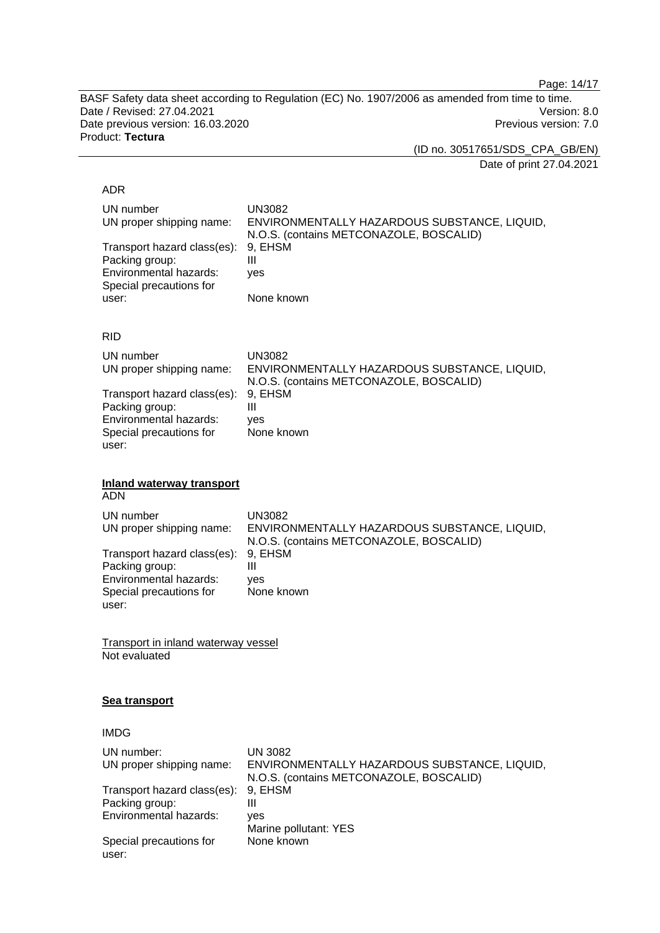Page: 14/17

BASF Safety data sheet according to Regulation (EC) No. 1907/2006 as amended from time to time. Date / Revised: 27.04.2021 Version: 8.0 Date previous version: 16.03.2020 <br>
Previous version: 7.0 Product: **Tectura** 

(ID no. 30517651/SDS\_CPA\_GB/EN)

Date of print 27.04.2021

## ADR

| UN number                           | UN3082                                       |
|-------------------------------------|----------------------------------------------|
| UN proper shipping name:            | ENVIRONMENTALLY HAZARDOUS SUBSTANCE, LIQUID, |
|                                     | N.O.S. (contains METCONAZOLE, BOSCALID)      |
| Transport hazard class(es): 9, EHSM |                                              |
| Packing group:                      | Ш                                            |
| Environmental hazards:              | ves                                          |
| Special precautions for             |                                              |
| user:                               | None known                                   |

#### RID

| UN number                           | UN3082                                       |
|-------------------------------------|----------------------------------------------|
| UN proper shipping name:            | ENVIRONMENTALLY HAZARDOUS SUBSTANCE, LIQUID, |
|                                     | N.O.S. (contains METCONAZOLE, BOSCALID)      |
| Transport hazard class(es): 9, EHSM |                                              |
| Packing group:                      | Ш                                            |
| Environmental hazards:              | ves                                          |
| Special precautions for             | None known                                   |
| user:                               |                                              |

#### **Inland waterway transport**

ADN

| UN number<br>UN proper shipping name: | UN3082<br>ENVIRONMENTALLY HAZARDOUS SUBSTANCE, LIQUID, |
|---------------------------------------|--------------------------------------------------------|
|                                       | N.O.S. (contains METCONAZOLE, BOSCALID)                |
| Transport hazard class(es): 9, EHSM   |                                                        |
| Packing group:                        | Ш                                                      |
| Environmental hazards:                | ves                                                    |
| Special precautions for               | None known                                             |
| user:                                 |                                                        |

Transport in inland waterway vessel Not evaluated

#### **Sea transport**

#### IMDG

| UN number:<br>UN proper shipping name:        | UN 3082<br>ENVIRONMENTALLY HAZARDOUS SUBSTANCE, LIQUID,<br>N.O.S. (contains METCONAZOLE, BOSCALID) |
|-----------------------------------------------|----------------------------------------------------------------------------------------------------|
| Transport hazard class(es):<br>Packing group: | 9, EHSM<br>Ш                                                                                       |
| Environmental hazards:                        | ves                                                                                                |
| Special precautions for                       | Marine pollutant: YES<br>None known                                                                |
| user:                                         |                                                                                                    |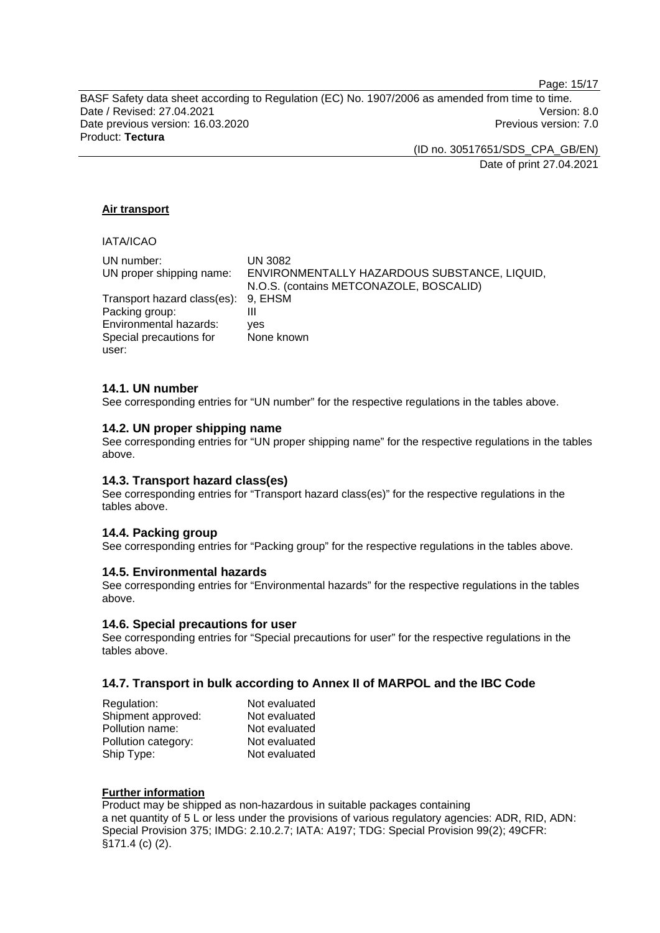Page: 15/17

BASF Safety data sheet according to Regulation (EC) No. 1907/2006 as amended from time to time. Date / Revised: 27.04.2021 Version: 8.0 Date previous version: 16.03.2020 **Previous version: 7.0** Previous version: 7.0 Product: **Tectura** 

> (ID no. 30517651/SDS\_CPA\_GB/EN) Date of print 27.04.2021

#### **Air transport**

#### IATA/ICAO

| UN number:<br>UN proper shipping name: | UN 3082<br>ENVIRONMENTALLY HAZARDOUS SUBSTANCE, LIQUID,<br>N.O.S. (contains METCONAZOLE, BOSCALID) |
|----------------------------------------|----------------------------------------------------------------------------------------------------|
| Transport hazard class(es): 9, EHSM    |                                                                                                    |
| Packing group:                         |                                                                                                    |
| Environmental hazards:                 | ves                                                                                                |
| Special precautions for                | None known                                                                                         |
| user:                                  |                                                                                                    |

#### **14.1. UN number**

See corresponding entries for "UN number" for the respective regulations in the tables above.

#### **14.2. UN proper shipping name**

See corresponding entries for "UN proper shipping name" for the respective regulations in the tables above.

#### **14.3. Transport hazard class(es)**

See corresponding entries for "Transport hazard class(es)" for the respective regulations in the tables above.

#### **14.4. Packing group**

See corresponding entries for "Packing group" for the respective regulations in the tables above.

#### **14.5. Environmental hazards**

See corresponding entries for "Environmental hazards" for the respective regulations in the tables above.

#### **14.6. Special precautions for user**

See corresponding entries for "Special precautions for user" for the respective regulations in the tables above.

#### **14.7. Transport in bulk according to Annex II of MARPOL and the IBC Code**

| Regulation:         | Not evaluated |
|---------------------|---------------|
| Shipment approved:  | Not evaluated |
| Pollution name:     | Not evaluated |
| Pollution category: | Not evaluated |
| Ship Type:          | Not evaluated |

#### **Further information**

Product may be shipped as non-hazardous in suitable packages containing a net quantity of 5 L or less under the provisions of various regulatory agencies: ADR, RID, ADN: Special Provision 375; IMDG: 2.10.2.7; IATA: A197; TDG: Special Provision 99(2); 49CFR: §171.4 (c) (2).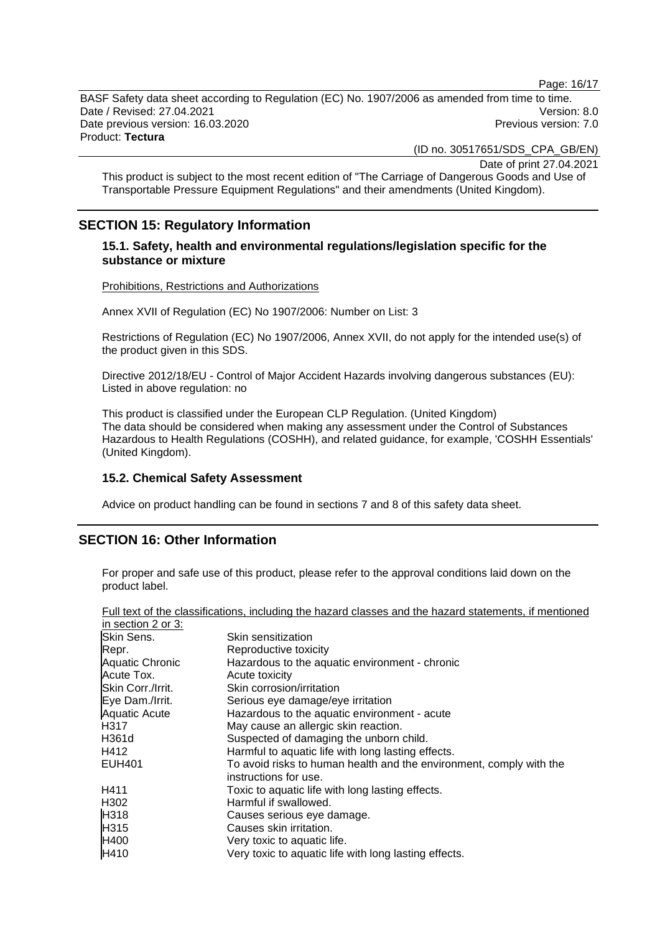Page: 16/17

BASF Safety data sheet according to Regulation (EC) No. 1907/2006 as amended from time to time. Date / Revised: 27.04.2021 Version: 8.0 Date previous version: 16.03.2020 **Previous version: 7.0** Previous version: 7.0 Product: **Tectura** 

(ID no. 30517651/SDS\_CPA\_GB/EN)

Date of print 27.04.2021

This product is subject to the most recent edition of "The Carriage of Dangerous Goods and Use of Transportable Pressure Equipment Regulations" and their amendments (United Kingdom).

## **SECTION 15: Regulatory Information**

#### **15.1. Safety, health and environmental regulations/legislation specific for the substance or mixture**

Prohibitions, Restrictions and Authorizations

Annex XVII of Regulation (EC) No 1907/2006: Number on List: 3

Restrictions of Regulation (EC) No 1907/2006, Annex XVII, do not apply for the intended use(s) of the product given in this SDS.

Directive 2012/18/EU - Control of Major Accident Hazards involving dangerous substances (EU): Listed in above regulation: no

This product is classified under the European CLP Regulation. (United Kingdom) The data should be considered when making any assessment under the Control of Substances Hazardous to Health Regulations (COSHH), and related guidance, for example, 'COSHH Essentials' (United Kingdom).

#### **15.2. Chemical Safety Assessment**

Advice on product handling can be found in sections 7 and 8 of this safety data sheet.

## **SECTION 16: Other Information**

For proper and safe use of this product, please refer to the approval conditions laid down on the product label.

|                        | Full text of the classifications, including the hazard classes and the hazard statements, if mentioned |
|------------------------|--------------------------------------------------------------------------------------------------------|
| in section 2 or 3:     |                                                                                                        |
| Skin Sens.             | Skin sensitization                                                                                     |
| Repr.                  | Reproductive toxicity                                                                                  |
| <b>Aquatic Chronic</b> | Hazardous to the aquatic environment - chronic                                                         |
| Acute Tox.             | Acute toxicity                                                                                         |
| Skin Corr./Irrit.      | Skin corrosion/irritation                                                                              |
| Eye Dam./Irrit.        | Serious eye damage/eye irritation                                                                      |
| <b>Aquatic Acute</b>   | Hazardous to the aquatic environment - acute                                                           |
| H317                   | May cause an allergic skin reaction.                                                                   |
| H361d                  | Suspected of damaging the unborn child.                                                                |
| H412                   | Harmful to aquatic life with long lasting effects.                                                     |
| <b>EUH401</b>          | To avoid risks to human health and the environment, comply with the<br>instructions for use.           |
| H411                   | Toxic to aquatic life with long lasting effects.                                                       |
| H <sub>302</sub>       | Harmful if swallowed.                                                                                  |
| H318                   | Causes serious eye damage.                                                                             |
| H315                   | Causes skin irritation.                                                                                |
| H400                   | Very toxic to aquatic life.                                                                            |
| H410                   | Very toxic to aquatic life with long lasting effects.                                                  |
|                        |                                                                                                        |